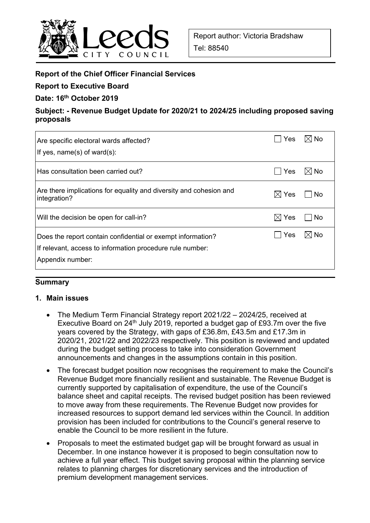

## **Report of the Chief Officer Financial Services**

**Report to Executive Board** 

**Date: 16th October 2019** 

**Subject: - Revenue Budget Update for 2020/21 to 2024/25 including proposed saving proposals** 

| Are specific electoral wards affected?<br>If yes, $name(s)$ of ward $(s)$ :                                                                  | Yes             | $\boxtimes$ l No |
|----------------------------------------------------------------------------------------------------------------------------------------------|-----------------|------------------|
| Has consultation been carried out?                                                                                                           | Yes             | $\boxtimes$ No   |
| Are there implications for equality and diversity and cohesion and<br>integration?                                                           | $\boxtimes$ Yes | No               |
| Will the decision be open for call-in?                                                                                                       | $\boxtimes$ Yes | No.              |
| Does the report contain confidential or exempt information?<br>If relevant, access to information procedure rule number:<br>Appendix number: | Yes             | $\boxtimes$ No   |

## **Summary**

#### **1. Main issues**

- The Medium Term Financial Strategy report 2021/22 2024/25, received at Executive Board on  $24<sup>th</sup>$  July 2019, reported a budget gap of £93.7m over the five years covered by the Strategy, with gaps of £36.8m, £43.5m and £17.3m in 2020/21, 2021/22 and 2022/23 respectively. This position is reviewed and updated during the budget setting process to take into consideration Government announcements and changes in the assumptions contain in this position.
- The forecast budget position now recognises the requirement to make the Council's Revenue Budget more financially resilient and sustainable. The Revenue Budget is currently supported by capitalisation of expenditure, the use of the Council's balance sheet and capital receipts. The revised budget position has been reviewed to move away from these requirements. The Revenue Budget now provides for increased resources to support demand led services within the Council. In addition provision has been included for contributions to the Council's general reserve to enable the Council to be more resilient in the future.
- Proposals to meet the estimated budget gap will be brought forward as usual in December. In one instance however it is proposed to begin consultation now to achieve a full year effect. This budget saving proposal within the planning service relates to planning charges for discretionary services and the introduction of premium development management services.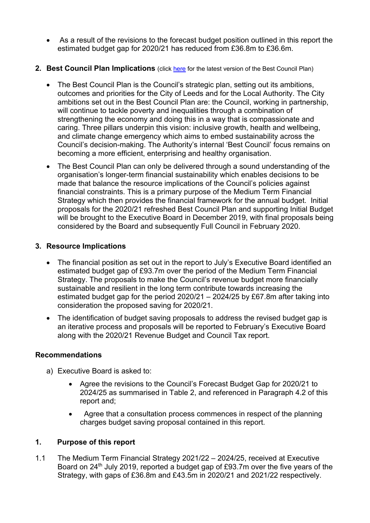- As a result of the revisions to the forecast budget position outlined in this report the estimated budget gap for 2020/21 has reduced from £36.8m to £36.6m.
- **2. Best Council Plan Implications** (click here for the latest version of the Best Council Plan)
	- The Best Council Plan is the Council's strategic plan, setting out its ambitions, outcomes and priorities for the City of Leeds and for the Local Authority. The City ambitions set out in the Best Council Plan are: the Council, working in partnership, will continue to tackle poverty and inequalities through a combination of strengthening the economy and doing this in a way that is compassionate and caring. Three pillars underpin this vision: inclusive growth, health and wellbeing, and climate change emergency which aims to embed sustainability across the Council's decision-making. The Authority's internal 'Best Council' focus remains on becoming a more efficient, enterprising and healthy organisation.
	- The Best Council Plan can only be delivered through a sound understanding of the organisation's longer-term financial sustainability which enables decisions to be made that balance the resource implications of the Council's policies against financial constraints. This is a primary purpose of the Medium Term Financial Strategy which then provides the financial framework for the annual budget. Initial proposals for the 2020/21 refreshed Best Council Plan and supporting Initial Budget will be brought to the Executive Board in December 2019, with final proposals being considered by the Board and subsequently Full Council in February 2020.

### **3. Resource Implications**

- The financial position as set out in the report to July's Executive Board identified an estimated budget gap of £93.7m over the period of the Medium Term Financial Strategy. The proposals to make the Council's revenue budget more financially sustainable and resilient in the long term contribute towards increasing the estimated budget gap for the period 2020/21 – 2024/25 by £67.8m after taking into consideration the proposed saving for 2020/21.
- The identification of budget saving proposals to address the revised budget gap is an iterative process and proposals will be reported to February's Executive Board along with the 2020/21 Revenue Budget and Council Tax report.

## **Recommendations**

- a) Executive Board is asked to:
	- Agree the revisions to the Council's Forecast Budget Gap for 2020/21 to 2024/25 as summarised in Table 2, and referenced in Paragraph 4.2 of this report and;
	- Agree that a consultation process commences in respect of the planning charges budget saving proposal contained in this report.

## **1. Purpose of this report**

1.1 The Medium Term Financial Strategy 2021/22 – 2024/25, received at Executive Board on 24<sup>th</sup> July 2019, reported a budget gap of £93.7m over the five years of the Strategy, with gaps of £36.8m and £43.5m in 2020/21 and 2021/22 respectively.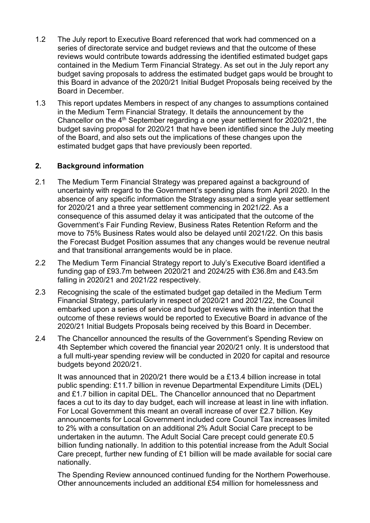- 1.2 The July report to Executive Board referenced that work had commenced on a series of directorate service and budget reviews and that the outcome of these reviews would contribute towards addressing the identified estimated budget gaps contained in the Medium Term Financial Strategy. As set out in the July report any budget saving proposals to address the estimated budget gaps would be brought to this Board in advance of the 2020/21 Initial Budget Proposals being received by the Board in December.
- 1.3 This report updates Members in respect of any changes to assumptions contained in the Medium Term Financial Strategy. It details the announcement by the Chancellor on the  $4<sup>th</sup>$  September regarding a one year settlement for 2020/21, the budget saving proposal for 2020/21 that have been identified since the July meeting of the Board, and also sets out the implications of these changes upon the estimated budget gaps that have previously been reported.

## **2. Background information**

- 2.1 The Medium Term Financial Strategy was prepared against a background of uncertainty with regard to the Government's spending plans from April 2020. In the absence of any specific information the Strategy assumed a single year settlement for 2020/21 and a three year settlement commencing in 2021/22. As a consequence of this assumed delay it was anticipated that the outcome of the Government's Fair Funding Review, Business Rates Retention Reform and the move to 75% Business Rates would also be delayed until 2021/22. On this basis the Forecast Budget Position assumes that any changes would be revenue neutral and that transitional arrangements would be in place.
- 2.2 The Medium Term Financial Strategy report to July's Executive Board identified a funding gap of £93.7m between 2020/21 and 2024/25 with £36.8m and £43.5m falling in 2020/21 and 2021/22 respectively.
- 2.3 Recognising the scale of the estimated budget gap detailed in the Medium Term Financial Strategy, particularly in respect of 2020/21 and 2021/22, the Council embarked upon a series of service and budget reviews with the intention that the outcome of these reviews would be reported to Executive Board in advance of the 2020/21 Initial Budgets Proposals being received by this Board in December.
- 2.4 The Chancellor announced the results of the Government's Spending Review on 4th September which covered the financial year 2020/21 only. It is understood that a full multi-year spending review will be conducted in 2020 for capital and resource budgets beyond 2020/21.

It was announced that in 2020/21 there would be a £13.4 billion increase in total public spending: £11.7 billion in revenue Departmental Expenditure Limits (DEL) and £1.7 billion in capital DEL. The Chancellor announced that no Department faces a cut to its day to day budget, each will increase at least in line with inflation. For Local Government this meant an overall increase of over £2.7 billion. Key announcements for Local Government included core Council Tax increases limited to 2% with a consultation on an additional 2% Adult Social Care precept to be undertaken in the autumn. The Adult Social Care precept could generate £0.5 billion funding nationally. In addition to this potential increase from the Adult Social Care precept, further new funding of £1 billion will be made available for social care nationally.

The Spending Review announced continued funding for the Northern Powerhouse. Other announcements included an additional £54 million for homelessness and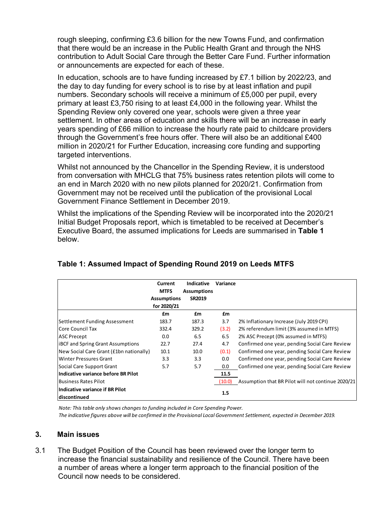rough sleeping, confirming £3.6 billion for the new Towns Fund, and confirmation that there would be an increase in the Public Health Grant and through the NHS contribution to Adult Social Care through the Better Care Fund. Further information or announcements are expected for each of these.

In education, schools are to have funding increased by £7.1 billion by 2022/23, and the day to day funding for every school is to rise by at least inflation and pupil numbers. Secondary schools will receive a minimum of £5,000 per pupil, every primary at least £3,750 rising to at least £4,000 in the following year. Whilst the Spending Review only covered one year, schools were given a three year settlement. In other areas of education and skills there will be an increase in early years spending of £66 million to increase the hourly rate paid to childcare providers through the Government's free hours offer. There will also be an additional £400 million in 2020/21 for Further Education, increasing core funding and supporting targeted interventions.

Whilst not announced by the Chancellor in the Spending Review, it is understood from conversation with MHCLG that 75% business rates retention pilots will come to an end in March 2020 with no new pilots planned for 2020/21. Confirmation from Government may not be received until the publication of the provisional Local Government Finance Settlement in December 2019.

Whilst the implications of the Spending Review will be incorporated into the 2020/21 Initial Budget Proposals report, which is timetabled to be received at December's Executive Board, the assumed implications for Leeds are summarised in **Table 1** below.

|                                                  | Current<br><b>MTFS</b><br><b>Assumptions</b><br>for 2020/21 | <b>Indicative</b><br><b>Assumptions</b><br><b>SR2019</b> | Variance |                                                    |
|--------------------------------------------------|-------------------------------------------------------------|----------------------------------------------------------|----------|----------------------------------------------------|
|                                                  | £m                                                          | £m                                                       | £m       |                                                    |
| <b>Settlement Funding Assessment</b>             | 183.7                                                       | 187.3                                                    | 3.7      | 2% Inflationary Increase (July 2019 CPI)           |
| lCore Council Tax                                | 332.4                                                       | 329.2                                                    | (3.2)    | 2% referendum limit (3% assumed in MTFS)           |
| <b>ASC Precept</b>                               | 0.0                                                         | 6.5                                                      | 6.5      | 2% ASC Precept (0% assumed in MTFS)                |
| <b>IBCF</b> and Spring Grant Assumptions         | 22.7                                                        | 27.4                                                     | 4.7      | Confirmed one year, pending Social Care Review     |
| New Social Care Grant (£1bn nationally)          | 10.1                                                        | 10.0                                                     | (0.1)    | Confirmed one year, pending Social Care Review     |
| <b>Winter Pressures Grant</b>                    | 3.3                                                         | 3.3                                                      | 0.0      | Confirmed one year, pending Social Care Review     |
| Social Care Support Grant                        | 5.7                                                         | 5.7                                                      | 0.0      | Confirmed one year, pending Social Care Review     |
| Indicative variance before BR Pilot              |                                                             |                                                          | 11.5     |                                                    |
| <b>Business Rates Pilot</b>                      |                                                             |                                                          | (10.0)   | Assumption that BR Pilot will not continue 2020/21 |
| Indicative variance if BR Pilot<br>ldiscontinued |                                                             |                                                          | 1.5      |                                                    |

# **Table 1: Assumed Impact of Spending Round 2019 on Leeds MTFS**

*Note: This table only shows changes to funding included in Core Spending Power. The indicative figures above will be confirmed in the Provisional Local Government Settlement, expected in December 2019.*

#### **3. Main issues**

3.1 The Budget Position of the Council has been reviewed over the longer term to increase the financial sustainability and resilience of the Council. There have been a number of areas where a longer term approach to the financial position of the Council now needs to be considered.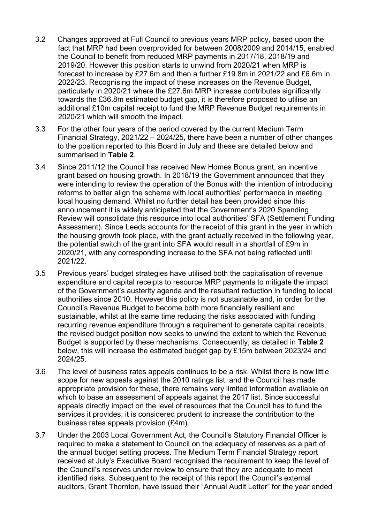- 3.2 Changes approved at Full Council to previous years MRP policy, based upon the fact that MRP had been overprovided for between 2008/2009 and 2014/15, enabled the Council to benefit from reduced MRP payments in 2017/18, 2018/19 and 2019/20. However this position starts to unwind from 2020/21 when MRP is forecast to increase by £27.6m and then a further £19.8m in 2021/22 and £6.6m in 2022/23. Recognising the impact of these increases on the Revenue Budget, particularly in 2020/21 where the £27.6m MRP increase contributes significantly towards the £36.8m estimated budget gap, it is therefore proposed to utilise an additional £10m capital receipt to fund the MRP Revenue Budget requirements in 2020/21 which will smooth the impact.
- 3.3 For the other four years of the period covered by the current Medium Term Financial Strategy, 2021/22 – 2024/25, there have been a number of other changes to the position reported to this Board in July and these are detailed below and summarised in **Table 2**.
- 3.4 Since 2011/12 the Council has received New Homes Bonus grant, an incentive grant based on housing growth. In 2018/19 the Government announced that they were intending to review the operation of the Bonus with the intention of introducing reforms to better align the scheme with local authorities' performance in meeting local housing demand. Whilst no further detail has been provided since this announcement it is widely anticipated that the Government's 2020 Spending Review will consolidate this resource into local authorities' SFA (Settlement Funding Assessment). Since Leeds accounts for the receipt of this grant in the year in which the housing growth took place, with the grant actually received in the following year, the potential switch of the grant into SFA would result in a shortfall of £9m in 2020/21, with any corresponding increase to the SFA not being reflected until 2021/22.
- 3.5 Previous years' budget strategies have utilised both the capitalisation of revenue expenditure and capital receipts to resource MRP payments to mitigate the impact of the Government's austerity agenda and the resultant reduction in funding to local authorities since 2010. However this policy is not sustainable and, in order for the Council's Revenue Budget to become both more financially resilient and sustainable, whilst at the same time reducing the risks associated with funding recurring revenue expenditure through a requirement to generate capital receipts, the revised budget position now seeks to unwind the extent to which the Revenue Budget is supported by these mechanisms. Consequently, as detailed in **Table 2** below, this will increase the estimated budget gap by £15m between 2023/24 and 2024/25.
- 3.6 The level of business rates appeals continues to be a risk. Whilst there is now little scope for new appeals against the 2010 ratings list, and the Council has made appropriate provision for these, there remains very limited information available on which to base an assessment of appeals against the 2017 list. Since successful appeals directly impact on the level of resources that the Council has to fund the services it provides, it is considered prudent to increase the contribution to the business rates appeals provision (£4m).
- 3.7 Under the 2003 Local Government Act, the Council's Statutory Financial Officer is required to make a statement to Council on the adequacy of reserves as a part of the annual budget setting process. The Medium Term Financial Strategy report received at July's Executive Board recognised the requirement to keep the level of the Council's reserves under review to ensure that they are adequate to meet identified risks. Subsequent to the receipt of this report the Council's external auditors, Grant Thornton, have issued their "Annual Audit Letter" for the year ended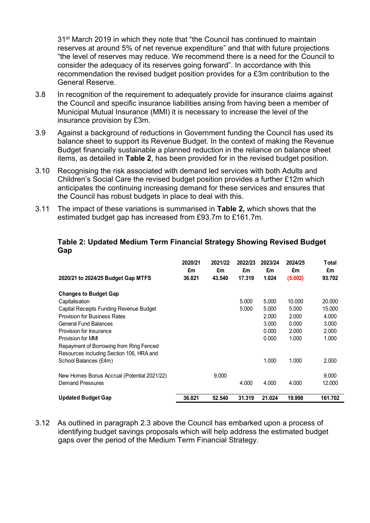31st March 2019 in which they note that "the Council has continued to maintain reserves at around 5% of net revenue expenditure" and that with future projections "the level of reserves may reduce. We recommend there is a need for the Council to consider the adequacy of its reserves going forward". In accordance with this recommendation the revised budget position provides for a £3m contribution to the General Reserve.

- 3.8 In recognition of the requirement to adequately provide for insurance claims against the Council and specific insurance liabilities arising from having been a member of Municipal Mutual Insurance (MMI) it is necessary to increase the level of the insurance provision by £3m.
- 3.9 Against a background of reductions in Government funding the Council has used its balance sheet to support its Revenue Budget. In the context of making the Revenue Budget financially sustainable a planned reduction in the reliance on balance sheet items, as detailed in **Table 2**, has been provided for in the revised budget position.
- 3.10 Recognising the risk associated with demand led services with both Adults and Children's Social Care the revised budget position provides a further £12m which anticipates the continuing increasing demand for these services and ensures that the Council has robust budgets in place to deal with this.
- 3.11 The impact of these variations is summarised in **Table 2,** which shows that the estimated budget gap has increased from £93.7m to £161.7m.

| 2020/21 to 2024/25 Budget Gap MTFS          | 2020/21<br>£m<br>36.821 | 2021/22<br>£m<br>43.540 | 2022/23<br>£m<br>17.319 | 2023/24<br>£m<br>1.024 | 2024/25<br>£m<br>(5.002) | Total<br>£m<br>93.702 |
|---------------------------------------------|-------------------------|-------------------------|-------------------------|------------------------|--------------------------|-----------------------|
| <b>Changes to Budget Gap</b>                |                         |                         |                         |                        |                          |                       |
| Capitalisation                              |                         |                         | 5.000                   | 5.000                  | 10.000                   | 20.000                |
| Capital Receipts Funding Revenue Budget     |                         |                         | 5.000                   | 5.000                  | 5.000                    | 15.000                |
| <b>Provision for Business Rates</b>         |                         |                         |                         | 2.000                  | 2.000                    | 4.000                 |
| <b>General Fund Balances</b>                |                         |                         |                         | 3.000                  | 0.000                    | 3.000                 |
| Provision for Insurance                     |                         |                         |                         | 0.000                  | 2.000                    | 2.000                 |
| Provision for MMI                           |                         |                         |                         | 0.000                  | 1.000                    | 1.000                 |
| Repayment of Borrowing from Ring Fenced     |                         |                         |                         |                        |                          |                       |
| Resources including Section 106, HRA and    |                         |                         |                         |                        |                          |                       |
| School Balances (£4m)                       |                         |                         |                         | 1.000                  | 1.000                    | 2.000                 |
| New Homes Bonus Accrual (Potential 2021/22) |                         | 9.000                   |                         |                        |                          | 9.000                 |
| <b>Demand Pressures</b>                     |                         |                         | 4.000                   | 4.000                  | 4.000                    | 12.000                |
| <b>Updated Budget Gap</b>                   | 36.821                  | 52.540                  | 31.319                  | 21.024                 | 19,998                   | 161.702               |

#### **Table 2: Updated Medium Term Financial Strategy Showing Revised Budget Gap**

3.12 As outlined in paragraph 2.3 above the Council has embarked upon a process of identifying budget savings proposals which will help address the estimated budget gaps over the period of the Medium Term Financial Strategy.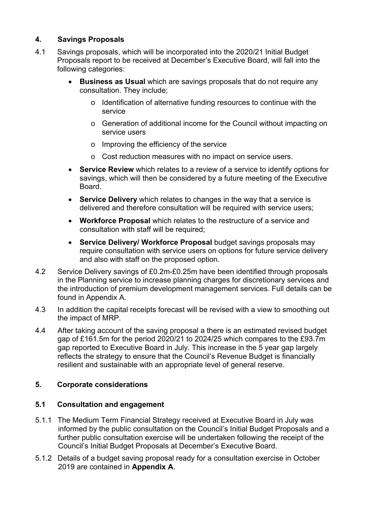## **4. Savings Proposals**

- 4.1 Savings proposals, which will be incorporated into the 2020/21 Initial Budget Proposals report to be received at December's Executive Board, will fall into the following categories:
	- **Business as Usual** which are savings proposals that do not require any consultation. They include;
		- o Identification of alternative funding resources to continue with the service
		- o Generation of additional income for the Council without impacting on service users
		- o Improving the efficiency of the service
		- o Cost reduction measures with no impact on service users.
	- **Service Review** which relates to a review of a service to identify options for savings, which will then be considered by a future meeting of the Executive Board.
	- **Service Delivery** which relates to changes in the way that a service is delivered and therefore consultation will be required with service users;
	- **Workforce Proposal** which relates to the restructure of a service and consultation with staff will be required;
	- **Service Delivery/ Workforce Proposal** budget savings proposals may require consultation with service users on options for future service delivery and also with staff on the proposed option.
- 4.2 Service Delivery savings of £0.2m-£0.25m have been identified through proposals in the Planning service to increase planning charges for discretionary services and the introduction of premium development management services. Full details can be found in Appendix A.
- 4.3 In addition the capital receipts forecast will be revised with a view to smoothing out the impact of MRP.
- 4.4 After taking account of the saving proposal a there is an estimated revised budget gap of £161.5m for the period 2020/21 to 2024/25 which compares to the £93.7m gap reported to Executive Board in July. This increase in the 5 year gap largely reflects the strategy to ensure that the Council's Revenue Budget is financially resilient and sustainable with an appropriate level of general reserve.

## **5. Corporate considerations**

## **5.1 Consultation and engagement**

- 5.1.1 The Medium Term Financial Strategy received at Executive Board in July was informed by the public consultation on the Council's Initial Budget Proposals and a further public consultation exercise will be undertaken following the receipt of the Council's Initial Budget Proposals at December's Executive Board.
- 5.1.2 Details of a budget saving proposal ready for a consultation exercise in October 2019 are contained in **Appendix A**.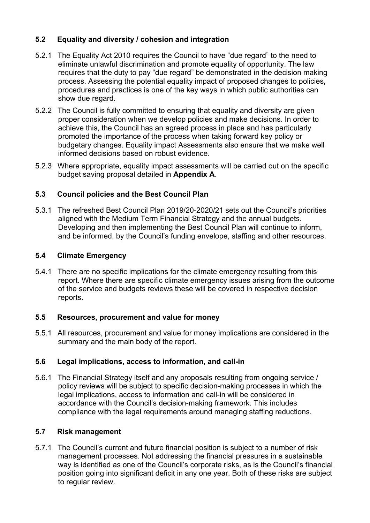## **5.2 Equality and diversity / cohesion and integration**

- 5.2.1 The Equality Act 2010 requires the Council to have "due regard" to the need to eliminate unlawful discrimination and promote equality of opportunity. The law requires that the duty to pay "due regard" be demonstrated in the decision making process. Assessing the potential equality impact of proposed changes to policies, procedures and practices is one of the key ways in which public authorities can show due regard.
- 5.2.2 The Council is fully committed to ensuring that equality and diversity are given proper consideration when we develop policies and make decisions. In order to achieve this, the Council has an agreed process in place and has particularly promoted the importance of the process when taking forward key policy or budgetary changes. Equality impact Assessments also ensure that we make well informed decisions based on robust evidence.
- 5.2.3 Where appropriate, equality impact assessments will be carried out on the specific budget saving proposal detailed in **Appendix A**.

## **5.3 Council policies and the Best Council Plan**

5.3.1 The refreshed Best Council Plan 2019/20-2020/21 sets out the Council's priorities aligned with the Medium Term Financial Strategy and the annual budgets. Developing and then implementing the Best Council Plan will continue to inform, and be informed, by the Council's funding envelope, staffing and other resources.

## **5.4 Climate Emergency**

5.4.1 There are no specific implications for the climate emergency resulting from this report. Where there are specific climate emergency issues arising from the outcome of the service and budgets reviews these will be covered in respective decision reports.

## **5.5 Resources, procurement and value for money**

5.5.1 All resources, procurement and value for money implications are considered in the summary and the main body of the report.

## **5.6 Legal implications, access to information, and call-in**

5.6.1 The Financial Strategy itself and any proposals resulting from ongoing service / policy reviews will be subject to specific decision-making processes in which the legal implications, access to information and call-in will be considered in accordance with the Council's decision-making framework. This includes compliance with the legal requirements around managing staffing reductions.

## **5.7 Risk management**

5.7.1 The Council's current and future financial position is subject to a number of risk management processes. Not addressing the financial pressures in a sustainable way is identified as one of the Council's corporate risks, as is the Council's financial position going into significant deficit in any one year. Both of these risks are subject to regular review.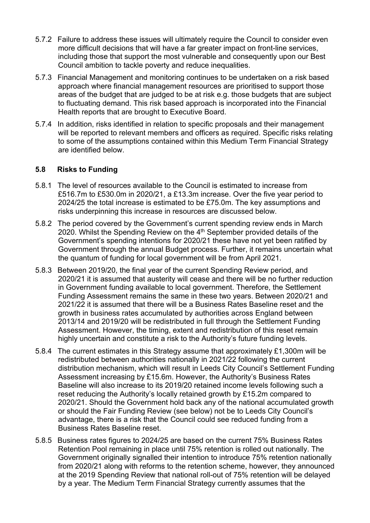- 5.7.2 Failure to address these issues will ultimately require the Council to consider even more difficult decisions that will have a far greater impact on front-line services, including those that support the most vulnerable and consequently upon our Best Council ambition to tackle poverty and reduce inequalities.
- 5.7.3 Financial Management and monitoring continues to be undertaken on a risk based approach where financial management resources are prioritised to support those areas of the budget that are judged to be at risk e.g. those budgets that are subject to fluctuating demand. This risk based approach is incorporated into the Financial Health reports that are brought to Executive Board.
- 5.7.4 In addition, risks identified in relation to specific proposals and their management will be reported to relevant members and officers as required. Specific risks relating to some of the assumptions contained within this Medium Term Financial Strategy are identified below.

### **5.8 Risks to Funding**

- 5.8.1 The level of resources available to the Council is estimated to increase from £516.7m to £530.0m in 2020/21, a £13.3m increase. Over the five year period to 2024/25 the total increase is estimated to be £75.0m. The key assumptions and risks underpinning this increase in resources are discussed below.
- 5.8.2 The period covered by the Government's current spending review ends in March 2020. Whilst the Spending Review on the 4<sup>th</sup> September provided details of the Government's spending intentions for 2020/21 these have not yet been ratified by Government through the annual Budget process. Further, it remains uncertain what the quantum of funding for local government will be from April 2021.
- 5.8.3 Between 2019/20, the final year of the current Spending Review period, and 2020/21 it is assumed that austerity will cease and there will be no further reduction in Government funding available to local government. Therefore, the Settlement Funding Assessment remains the same in these two years. Between 2020/21 and 2021/22 it is assumed that there will be a Business Rates Baseline reset and the growth in business rates accumulated by authorities across England between 2013/14 and 2019/20 will be redistributed in full through the Settlement Funding Assessment. However, the timing, extent and redistribution of this reset remain highly uncertain and constitute a risk to the Authority's future funding levels.
- 5.8.4 The current estimates in this Strategy assume that approximately £1,300m will be redistributed between authorities nationally in 2021/22 following the current distribution mechanism, which will result in Leeds City Council's Settlement Funding Assessment increasing by £15.6m. However, the Authority's Business Rates Baseline will also increase to its 2019/20 retained income levels following such a reset reducing the Authority's locally retained growth by £15.2m compared to 2020/21. Should the Government hold back any of the national accumulated growth or should the Fair Funding Review (see below) not be to Leeds City Council's advantage, there is a risk that the Council could see reduced funding from a Business Rates Baseline reset.
- 5.8.5 Business rates figures to 2024/25 are based on the current 75% Business Rates Retention Pool remaining in place until 75% retention is rolled out nationally. The Government originally signalled their intention to introduce 75% retention nationally from 2020/21 along with reforms to the retention scheme, however, they announced at the 2019 Spending Review that national roll-out of 75% retention will be delayed by a year. The Medium Term Financial Strategy currently assumes that the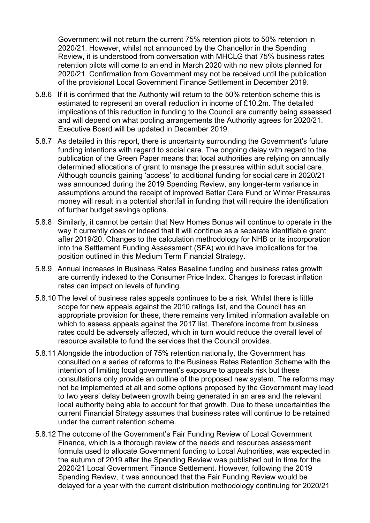Government will not return the current 75% retention pilots to 50% retention in 2020/21. However, whilst not announced by the Chancellor in the Spending Review, it is understood from conversation with MHCLG that 75% business rates retention pilots will come to an end in March 2020 with no new pilots planned for 2020/21. Confirmation from Government may not be received until the publication of the provisional Local Government Finance Settlement in December 2019.

- 5.8.6 If it is confirmed that the Authority will return to the 50% retention scheme this is estimated to represent an overall reduction in income of £10.2m. The detailed implications of this reduction in funding to the Council are currently being assessed and will depend on what pooling arrangements the Authority agrees for 2020/21. Executive Board will be updated in December 2019.
- 5.8.7 As detailed in this report, there is uncertainty surrounding the Government's future funding intentions with regard to social care. The ongoing delay with regard to the publication of the Green Paper means that local authorities are relying on annually determined allocations of grant to manage the pressures within adult social care. Although councils gaining 'access' to additional funding for social care in 2020/21 was announced during the 2019 Spending Review, any longer-term variance in assumptions around the receipt of improved Better Care Fund or Winter Pressures money will result in a potential shortfall in funding that will require the identification of further budget savings options.
- 5.8.8 Similarly, it cannot be certain that New Homes Bonus will continue to operate in the way it currently does or indeed that it will continue as a separate identifiable grant after 2019/20. Changes to the calculation methodology for NHB or its incorporation into the Settlement Funding Assessment (SFA) would have implications for the position outlined in this Medium Term Financial Strategy.
- 5.8.9 Annual increases in Business Rates Baseline funding and business rates growth are currently indexed to the Consumer Price Index. Changes to forecast inflation rates can impact on levels of funding.
- 5.8.10 The level of business rates appeals continues to be a risk. Whilst there is little scope for new appeals against the 2010 ratings list, and the Council has an appropriate provision for these, there remains very limited information available on which to assess appeals against the 2017 list. Therefore income from business rates could be adversely affected, which in turn would reduce the overall level of resource available to fund the services that the Council provides.
- 5.8.11 Alongside the introduction of 75% retention nationally, the Government has consulted on a series of reforms to the Business Rates Retention Scheme with the intention of limiting local government's exposure to appeals risk but these consultations only provide an outline of the proposed new system. The reforms may not be implemented at all and some options proposed by the Government may lead to two years' delay between growth being generated in an area and the relevant local authority being able to account for that growth. Due to these uncertainties the current Financial Strategy assumes that business rates will continue to be retained under the current retention scheme.
- 5.8.12 The outcome of the Government's Fair Funding Review of Local Government Finance, which is a thorough review of the needs and resources assessment formula used to allocate Government funding to Local Authorities, was expected in the autumn of 2019 after the Spending Review was published but in time for the 2020/21 Local Government Finance Settlement. However, following the 2019 Spending Review, it was announced that the Fair Funding Review would be delayed for a year with the current distribution methodology continuing for 2020/21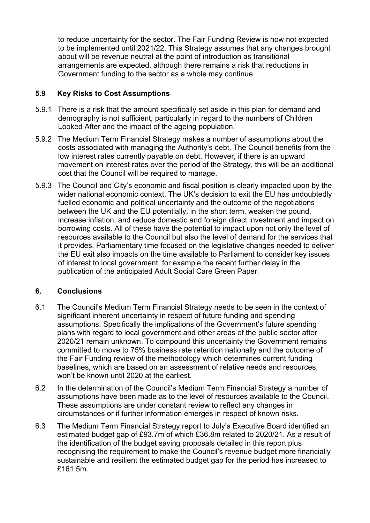to reduce uncertainty for the sector. The Fair Funding Review is now not expected to be implemented until 2021/22. This Strategy assumes that any changes brought about will be revenue neutral at the point of introduction as transitional arrangements are expected, although there remains a risk that reductions in Government funding to the sector as a whole may continue.

## **5.9 Key Risks to Cost Assumptions**

- 5.9.1 There is a risk that the amount specifically set aside in this plan for demand and demography is not sufficient, particularly in regard to the numbers of Children Looked After and the impact of the ageing population.
- 5.9.2 The Medium Term Financial Strategy makes a number of assumptions about the costs associated with managing the Authority's debt. The Council benefits from the low interest rates currently payable on debt. However, if there is an upward movement on interest rates over the period of the Strategy, this will be an additional cost that the Council will be required to manage.
- 5.9.3 The Council and City's economic and fiscal position is clearly impacted upon by the wider national economic context. The UK's decision to exit the EU has undoubtedly fuelled economic and political uncertainty and the outcome of the negotiations between the UK and the EU potentially, in the short term, weaken the pound, increase inflation, and reduce domestic and foreign direct investment and impact on borrowing costs. All of these have the potential to impact upon not only the level of resources available to the Council but also the level of demand for the services that it provides. Parliamentary time focused on the legislative changes needed to deliver the EU exit also impacts on the time available to Parliament to consider key issues of interest to local government, for example the recent further delay in the publication of the anticipated Adult Social Care Green Paper.

## **6. Conclusions**

- 6.1 The Council's Medium Term Financial Strategy needs to be seen in the context of significant inherent uncertainty in respect of future funding and spending assumptions. Specifically the implications of the Government's future spending plans with regard to local government and other areas of the public sector after 2020/21 remain unknown. To compound this uncertainty the Government remains committed to move to 75% business rate retention nationally and the outcome of the Fair Funding review of the methodology which determines current funding baselines, which are based on an assessment of relative needs and resources, won't be known until 2020 at the earliest.
- 6.2 In the determination of the Council's Medium Term Financial Strategy a number of assumptions have been made as to the level of resources available to the Council. These assumptions are under constant review to reflect any changes in circumstances or if further information emerges in respect of known risks.
- 6.3 The Medium Term Financial Strategy report to July's Executive Board identified an estimated budget gap of £93.7m of which £36.8m related to 2020/21. As a result of the identification of the budget saving proposals detailed in this report plus recognising the requirement to make the Council's revenue budget more financially sustainable and resilient the estimated budget gap for the period has increased to £161.5m.